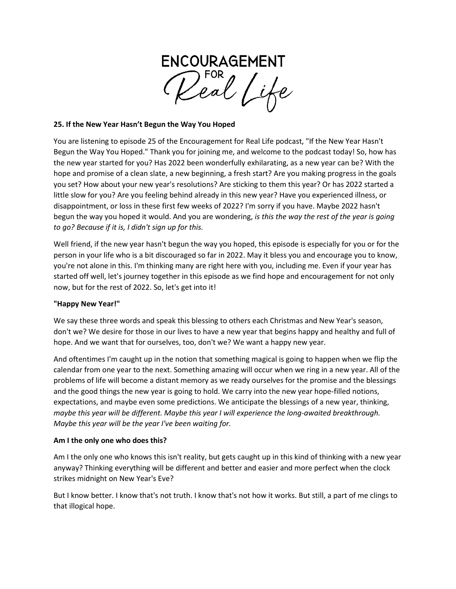

#### **25. If the New Year Hasn't Begun the Way You Hoped**

You are listening to episode 25 of the Encouragement for Real Life podcast, "If the New Year Hasn't Begun the Way You Hoped." Thank you for joining me, and welcome to the podcast today! So, how has the new year started for you? Has 2022 been wonderfully exhilarating, as a new year can be? With the hope and promise of a clean slate, a new beginning, a fresh start? Are you making progress in the goals you set? How about your new year's resolutions? Are sticking to them this year? Or has 2022 started a little slow for you? Are you feeling behind already in this new year? Have you experienced illness, or disappointment, or loss in these first few weeks of 2022? I'm sorry if you have. Maybe 2022 hasn't begun the way you hoped it would. And you are wondering, *is this the way the rest of the year is going to go? Because if it is, I didn't sign up for this.*

Well friend, if the new year hasn't begun the way you hoped, this episode is especially for you or for the person in your life who is a bit discouraged so far in 2022. May it bless you and encourage you to know, you're not alone in this. I'm thinking many are right here with you, including me. Even if your year has started off well, let's journey together in this episode as we find hope and encouragement for not only now, but for the rest of 2022. So, let's get into it!

#### **"Happy New Year!"**

We say these three words and speak this blessing to others each Christmas and New Year's season, don't we? We desire for those in our lives to have a new year that begins happy and healthy and full of hope. And we want that for ourselves, too, don't we? We want a happy new year.

And oftentimes I'm caught up in the notion that something magical is going to happen when we flip the calendar from one year to the next. Something amazing will occur when we ring in a new year. All of the problems of life will become a distant memory as we ready ourselves for the promise and the blessings and the good things the new year is going to hold. We carry into the new year hope-filled notions, expectations, and maybe even some predictions. We anticipate the blessings of a new year, thinking, *maybe this year will be different. Maybe this year I will experience the long-awaited breakthrough. Maybe this year will be the year I've been waiting for.*

#### **Am I the only one who does this?**

Am I the only one who knows this isn't reality, but gets caught up in this kind of thinking with a new year anyway? Thinking everything will be different and better and easier and more perfect when the clock strikes midnight on New Year's Eve?

But I know better. I know that's not truth. I know that's not how it works. But still, a part of me clings to that illogical hope.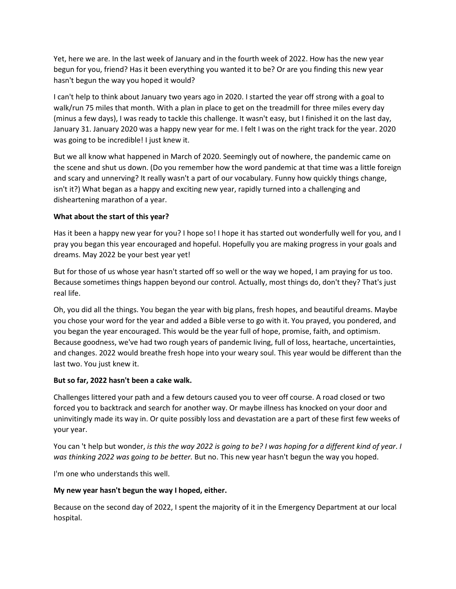Yet, here we are. In the last week of January and in the fourth week of 2022. How has the new year begun for you, friend? Has it been everything you wanted it to be? Or are you finding this new year hasn't begun the way you hoped it would?

I can't help to think about January two years ago in 2020. I started the year off strong with a goal to walk/run 75 miles that month. With a plan in place to get on the treadmill for three miles every day (minus a few days), I was ready to tackle this challenge. It wasn't easy, but I finished it on the last day, January 31. January 2020 was a happy new year for me. I felt I was on the right track for the year. 2020 was going to be incredible! I just knew it.

But we all know what happened in March of 2020. Seemingly out of nowhere, the pandemic came on the scene and shut us down. (Do you remember how the word pandemic at that time was a little foreign and scary and unnerving? It really wasn't a part of our vocabulary. Funny how quickly things change, isn't it?) What began as a happy and exciting new year, rapidly turned into a challenging and disheartening marathon of a year.

# **What about the start of this year?**

Has it been a happy new year for you? I hope so! I hope it has started out wonderfully well for you, and I pray you began this year encouraged and hopeful. Hopefully you are making progress in your goals and dreams. May 2022 be your best year yet!

But for those of us whose year hasn't started off so well or the way we hoped, I am praying for us too. Because sometimes things happen beyond our control. Actually, most things do, don't they? That's just real life.

Oh, you did all the things. You began the year with big plans, fresh hopes, and beautiful dreams. Maybe you chose your word for the year and added a Bible verse to go with it. You prayed, you pondered, and you began the year encouraged. This would be the year full of hope, promise, faith, and optimism. Because goodness, we've had two rough years of pandemic living, full of loss, heartache, uncertainties, and changes. 2022 would breathe fresh hope into your weary soul. This year would be different than the last two. You just knew it.

#### **But so far, 2022 hasn't been a cake walk.**

Challenges littered your path and a few detours caused you to veer off course. A road closed or two forced you to backtrack and search for another way. Or maybe illness has knocked on your door and uninvitingly made its way in. Or quite possibly loss and devastation are a part of these first few weeks of your year.

You can 't help but wonder, *is this the way 2022 is going to be? I was hoping for a different kind of year*. *I was thinking 2022 was* g*oing to be better.* But no. This new year hasn't begun the way you hoped.

I'm one who understands this well.

### **My new year hasn't begun the way I hoped, either.**

Because on the second day of 2022, I spent the majority of it in the Emergency Department at our local hospital.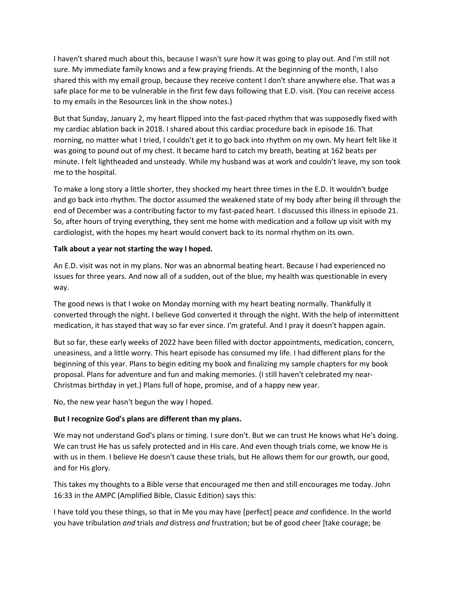I haven't shared much about this, because I wasn't sure how it was going to play out. And I'm still not sure. My immediate family knows and a few praying friends. At the beginning of the month, I also shared this with my email group, because they receive content I don't share anywhere else. That was a safe place for me to be vulnerable in the first few days following that E.D. visit. (You can receive access to my emails in the Resources link in the show notes.)

But that Sunday, January 2, my heart flipped into the fast-paced rhythm that was supposedly fixed with my cardiac ablation back in 2018. I shared about this cardiac procedure back in episode 16. That morning, no matter what I tried, I couldn't get it to go back into rhythm on my own. My heart felt like it was going to pound out of my chest. It became hard to catch my breath, beating at 162 beats per minute. I felt lightheaded and unsteady. While my husband was at work and couldn't leave, my son took me to the hospital.

To make a long story a little shorter, they shocked my heart three times in the E.D. It wouldn't budge and go back into rhythm. The doctor assumed the weakened state of my body after being ill through the end of December was a contributing factor to my fast-paced heart. I discussed this illness in episode 21. So, after hours of trying everything, they sent me home with medication and a follow up visit with my cardiologist, with the hopes my heart would convert back to its normal rhythm on its own.

#### **Talk about a year not starting the way I hoped.**

An E.D. visit was not in my plans. Nor was an abnormal beating heart. Because I had experienced no issues for three years. And now all of a sudden, out of the blue, my health was questionable in every way.

The good news is that I woke on Monday morning with my heart beating normally. Thankfully it converted through the night. I believe God converted it through the night. With the help of intermittent medication, it has stayed that way so far ever since. I'm grateful. And I pray it doesn't happen again.

But so far, these early weeks of 2022 have been filled with doctor appointments, medication, concern, uneasiness, and a little worry. This heart episode has consumed my life. I had different plans for the beginning of this year. Plans to begin editing my book and finalizing my sample chapters for my book proposal. Plans for adventure and fun and making memories. (I still haven't celebrated my near-Christmas birthday in yet.) Plans full of hope, promise, and of a happy new year.

No, the new year hasn't begun the way I hoped.

# **But I recognize God's plans are different than my plans.**

We may not understand God's plans or timing. I sure don't. But we can trust He knows what He's doing. We can trust He has us safely protected and in His care. And even though trials come, we know He is with us in them. I believe He doesn't cause these trials, but He allows them for our growth, our good, and for His glory.

This takes my thoughts to a Bible verse that encouraged me then and still encourages me today. John 16:33 in the AMPC (Amplified Bible, Classic Edition) says this:

I have told you these things, so that in Me you may have [perfect] peace *and* confidence. In the world you have tribulation *and* trials *and* distress *and* frustration; but be of good cheer [take courage; be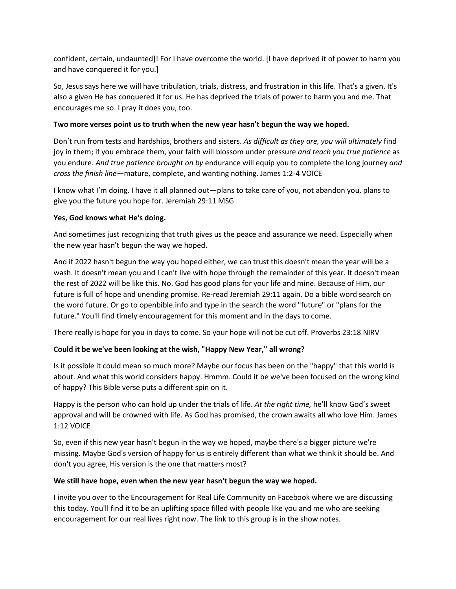confident, certain, undaunted]! For I have overcome the world. [I have deprived it of power to harm you and have conquered it for you.]

So, Jesus says here we will have tribulation, trials, distress, and frustration in this life. That's a given. It's also a given He has conquered it for us. He has deprived the trials of power to harm you and me. That encourages me so. I pray it does you, too.

### **Two more verses point us to truth when the new year hasn't begun the way we hoped.**

Don't run from tests and hardships, brothers and sisters. *As difficult as they are, you will ultimately* find joy in them; if you embrace them, your faith will blossom under pressure *and teach you true patience* as you endure. *And true patience brought on by* endurance will equip you to complete the long journey *and cross the finish line*—mature, complete, and wanting nothing. James 1:2-4 VOICE

I know what I'm doing. I have it all planned out—plans to take care of you, not abandon you, plans to give you the future you hope for. Jeremiah 29:11 MSG

### **Yes, God knows what He's doing.**

And sometimes just recognizing that truth gives us the peace and assurance we need. Especially when the new year hasn't begun the way we hoped.

And if 2022 hasn't begun the way you hoped either, we can trust this doesn't mean the year will be a wash. It doesn't mean you and I can't live with hope through the remainder of this year. It doesn't mean the rest of 2022 will be like this. No. God has good plans for your life and mine. Because of Him, our future is full of hope and unending promise. Re-read Jeremiah 29:11 again. Do a bible word search on the word future. Or go to openbible.info and type in the search the word "future" or "plans for the future." You'll find timely encouragement for this moment and in the days to come.

There really is hope for you in days to come. So your hope will not be cut off. Proverbs 23:18 NIRV

# **Could it be we've been looking at the wish, "Happy New Year," all wrong?**

Is it possible it could mean so much more? Maybe our focus has been on the "happy" that this world is about. And what this world considers happy. Hmmm. Could it be we've been focused on the wrong kind of happy? This Bible verse puts a different spin on it.

Happy is the person who can hold up under the trials of life. *At the right time,* he'll know God's sweet approval and will be crowned with life. As God has promised, the crown awaits all who love Him. James 1:12 VOICE

So, even if this new year hasn't begun in the way we hoped, maybe there's a bigger picture we're missing. Maybe God's version of happy for us is entirely different than what we think it should be. And don't you agree, His version is the one that matters most?

#### **We still have hope, even when the new year hasn't begun the way we hoped.**

I invite you over to the Encouragement for Real Life Community on Facebook where we are discussing this today. You'll find it to be an uplifting space filled with people like you and me who are seeking encouragement for our real lives right now. The link to this group is in the show notes.